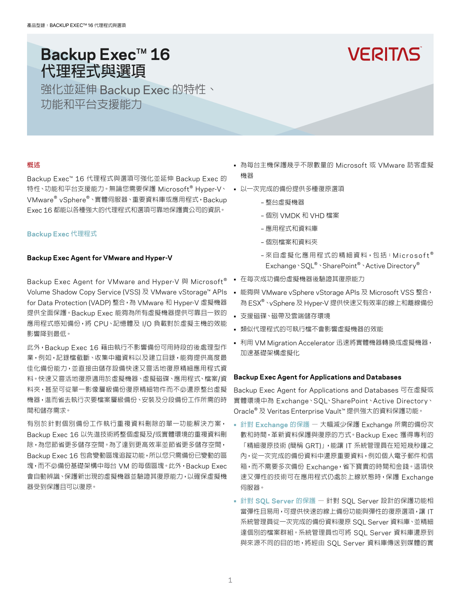# **Backup Exec™ 16** 代理程式與選項

強化並延伸 Backup Exec 的特性、 功能和平台支援能力

# **VERITAS**

# 概述

Backup Exec™ 16 代理程式與選項可強化並延伸 Backup Exec 的 特性、功能和平台支援能力。無論您需要保護 Microsoft® Hyper-V、 VMware® vSphere®、實體伺服器、重要資料庫或應用程式,Backup Exec 16 都能以各種強大的代理程式和選項可靠地保護貴公司的資訊。

# **Backup Exec** 代理程式

# **Backup Exec Agent for VMware and Hyper-V**

Backup Exec Agent for VMware and Hyper-V 與 Microsoft<sup>®</sup> Volume Shadow Copy Service (VSS) 及 VMware vStorage™ APIs for Data Protection (VADP) 整合,為 VMware 和 Hyper-V 虛擬機器 提供全面保護。Backup Exec 能夠為所有虛擬機器提供可靠且一致的 應用程式感知備份,將 CPU、記憶體及 I/O 負載對於虛擬主機的效能 影響降到最低。

此外,Backup Exec 16 藉由執行不影響備份可用時段的後處理型作 業,例如,記錄檔截斷、收集中繼資料以及建立目錄,能夠提供高度最 佳化備份能力,並直接由儲存設備快速又靈活地復原精細應用程式資 料。快速又靈活地復原適用於虛擬機器、虛擬磁碟、應用程式、檔案/資 料夾,甚至可從單一影像層級備份復原精細物件而不必還原整台虛擬 機器,進而省去執行次要檔案層級備份、安裝及分段備份工作所需的時 間和儲存需求。

有別於針對個別備份工作執行重複資料刪除的單一功能解決方案, Backup Exec 16 以先進技術將整個虛擬及/或實體環境的重複資料刪 除,為您節省更多儲存空間。為了達到更高效率並節省更多儲存空間, Backup Exec 16 包含變動區塊追蹤功能,所以您只需備份已變動的區 塊,而不必備份基礎架構中每台 VM 的每個區塊。此外,Backup Exec 會自動辨識、保護新出現的虛擬機器並驗證其復原能力,以確保虛擬機 器受到保護且可以復原。

- 為每台主機保護幾乎不限數量的 Microsoft 或 VMware 訪客虛擬 機器
- 以一次完成的備份提供多種復原選項
	- 整台虛擬機器
	- 個別 VMDK 和 VHD 檔案
	- 應用程式和資料庫
	- 個別檔案和資料夾
	- 來自虛擬化應用程式的精細資料,包括: Microsoft® Exchange、SQL® 、SharePoint® 、Active Directory®
- 在每次成功備份虛擬機器後驗證其復原能力
- 能夠與 VMware vSphere vStorage APIs 及 Microsoft VSS 整合, 為 ESX® 、vSphere 及 Hyper-V 提供快速又有效率的線上和離線備份
- 支援磁碟、磁帶及雲端儲存環境
- 類似代理程式的可執行檔不會影響虛擬機器的效能
- 利用 VM Migration Accelerator 迅速將實體機器轉換成虛擬機器, 加速基礎架構虛擬化

# **Backup Exec Agent for Applications and Databases**

Backup Exec Agent for Applications and Databases 可在虛擬或 實體環境中為 Exchange、SQL、SharePoint、Active Directory、 Oracle® 及 Veritas Enterprise Vault™ 提供強大的資料保護功能。

- 針對 **Exchange** 的保護 大幅減少保護 Exchange 所需的備份次 數和時間,革新資料保護與復原的方式。Backup Exec 獲得專利的 「精細復原技術 (簡稱 GRT)」,能讓 IT 系統管理員在短短幾秒鐘之 內,從一次完成的備份資料中還原重要資料,例如個人電子郵件和信 箱,而不需要多次備份 Exchange,省下寶貴的時間和金錢。這項快 速又彈性的技術可在應用程式仍處於上線狀態時,保護 Exchange 伺服器。
- 針對 **SQL Server** 的保護 針對 SQL Server 設計的保護功能相 當彈性且易用,可提供快速的線上備份功能與彈性的復原選項,讓 IT 系統管理員從一次完成的備份資料復原 SQL Server 資料庫、並精細 達個別的檔案群組。系統管理員也可將 SQL Server 資料庫還原到 與來源不同的目的地,將經由 SQL Server 資料庫傳送到媒體的實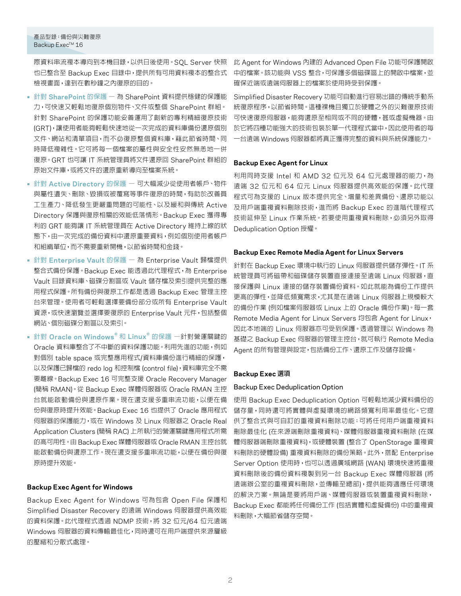# 產品型錄:備份與災難復原 Backup Exec™ 16

際資料串流複本導向到本機目錄,以供日後使用。SQL Server 快照 也已整合至 Backup Exec 目錄中,提供所有可用資料複本的整合式 檢視畫面,達到在數秒鐘之內復原的目的。

- 針對 **SharePoint** 的保護 為 SharePoint 資料提供穩健的保護能 力,可快速又輕鬆地復原個別物件、文件或整個 SharePoint 群組。 針對 SharePoint 的保護功能妥善運用了創新的專利精細復原技術 (GRT),讓使用者能夠輕鬆快速地從一次完成的資料庫備份還原個別 文件、網站和清單項目,而不必復原整個資料庫,藉此節省時間、同 時降低複雜性。它可將每一個檔案的屬性與安全性安然無恙地一併 復原。GRT 也可讓 IT 系統管理員將文件還原回 SharePoint 群組的 原始文件庫,或將文件的還原重新導向至檔案系統。
- 針對 **Active Directory** 的保護 可大幅減少從使用者帳戶、物件 與屬性遺失、刪除、毀損或被覆寫等事件復原的時間,有助於改善員 工生產力、降低發生更嚴重問題的可能性、以及緩和與傳統 Active Directory 保護與復原相關的效能低落情形。Backup Exec 獲得專 利的 GRT 能夠讓 IT 系統管理員在 Active Directory 維持上線的狀 態下,由一次完成的備份資料中還原重要資料,例如個別使用者帳戶 和組織單位,而不需要重新開機,以節省時間和金錢。
- 針對 **Enterprise Vault** 的保護 為 Enterprise Vault 歸檔提供 整合式備份保護。Backup Exec 能透過此代理程式,為 Enterprise Vault 目錄資料庫、磁碟分割區或 Vault 儲存檔及索引提供完整的應 用程式保護。所有備份與復原工作都是透過 Backup Exec 管理主控 台來管理。使用者可輕鬆選擇要備份部分或所有 Enterprise Vault 資源,或快速瀏覽並選擇要復原的 Enterprise Vault 元件,包括整個 網站、個別磁碟分割區以及索引。
- 針對 **Oracle on Windows**® 和 **Linux**® 的保護 —針對營運關鍵的 Oracle 資料庫整合了不中斷的資料保護功能。利用先進的功能,例如 對個別 table space 或完整應用程式/資料庫備份進行精細的保護, 以及保護已歸檔的 redo log 和控制檔 (control file),資料庫完全不需 要離線。Backup Exec 16 可完整支援 Oracle Recovery Manager (簡稱 RMAN)。從 Backup Exec 媒體伺服器或 Oracle RMAN 主控 台就能啟動備份與還原作業。現在還支援多重串流功能,以便在備 份與復原時提升效能。Backup Exec 16 也提供了 Oracle 應用程式 伺服器的保護能力,或在 Windows 及 Linux 伺服器之 Oracle Real Application Clusters (簡稱 RAC) 上所執行的營運關鍵應用程式所需 的高可用性。由 Backup Exec 媒體伺服器或 Oracle RMAN 主控台就 能啟動備份與還原工作。現在還支援多重串流功能,以便在備份與復 原時提升效能。

# **Backup Exec Agent for Windows**

Backup Exec Agent for Windows 可為包含 Open File 保護和 Simplified Disaster Recovery 的遠端 Windows 伺服器提供高效能 的資料保護。此代理程式透過 NDMP 技術,將 32 位元/64 位元遠端 Windows 伺服器的資料傳輸最佳化,同時還可在用戶端提供來源層級 的壓縮和分散式處理。

此 Agent for Windows 內建的 Advanced Open File 功能可保護開啟 中的檔案。該功能與 VSS 整合,可保護多個磁碟區上的開啟中檔案,並 確保近端或遠端伺服器上的檔案於使用時受到保護。

Simplified Disaster Recovery 功能可自動進行容易出錯的傳統手動系 統復原程序,以節省時間。這種裸機且獨立於硬體之外的災難復原技術 可快速復原伺服器,能夠還原至相同或不同的硬體,甚或虛擬機器。由 於它將四種功能強大的技術包裝於單一代理程式當中,因此使用者的每 一台遠端 Windows 伺服器都將真正獲得完整的資料與系統保護能力。

# **Backup Exec Agent for Linux**

利用同時支援 Intel 和 AMD 32 位元及 64 位元處理器的能力,為 遠端 32 位元和 64 位元 Linux 伺服器提供高效能的保護。此代理 程式可為支援的 Linux 版本提供完全、增量和差異備份、還原功能以 及用戶端重複資料刪除技術,進而將 Backup Exec 的進階代理程式 技術延伸至 Linux 作業系統。若要使用重複資料刪除,必須另外取得 Deduplication Option 授權。

# **Backup Exec Remote Media Agent for Linux Servers**

針對在 Backup Exec 環境中執行的 Linux 伺服器提供儲存彈性。IT 系 統管理員可將磁帶和磁碟儲存裝置直接連接至遠端 Linux 伺服器,直 接保護與 Linux 連接的儲存裝置備份資料。如此就能為備份工作提供 更高的彈性,並降低頻寬需求,尤其是在遠端 Linux 伺服器上規模較大 的備份作業 (例如檔案伺服器或 Linux 上的 Oracle 備份作業)。每一套 Remote Media Agent for Linux Servers 均包含 Agent for Linux, 因此本地端的 Linux 伺服器亦可受到保護。透過管理以 Windows 為 基礎之 Backup Exec 伺服器的管理主控台,就可執行 Remote Media Agent 的所有管理與設定,包括備份工作、還原工作及儲存設備。

# **Backup Exec** 選項

# Backup Exec Deduplication Option

使用 Backup Exec Deduplication Option 可輕鬆地減少資料備份的 儲存量,同時還可將實體與虛擬環境的網路頻寬利用率最佳化。它提 供了整合式與可自訂的重複資料刪除功能;可將任何用戶端重複資料 刪除最佳化 (在來源端刪除重複資料)、媒體伺服器重複資料刪除 (在媒 體伺服器端刪除重複資料),或硬體裝置 (整合了 OpenStorage 重複資 料刪除的硬體設備) 重複資料刪除的備份策略。此外,搭配 Enterprise Server Option 使用時,也可以透過廣域網路 (WAN) 環境快速將重複 資料刪除後的備份資料複製到另一台 Backup Exec 媒體伺服器 (將 遠端辦公室的重複資料刪除,並傳輸至總部),提供能夠適應任何環境 的解決方案。無論是要將用戶端、媒體伺服器或裝置重複資料刪除, Backup Exec 都能將任何備份工作 (包括實體和虛擬備份) 中的重複資 料刪除,大幅節省儲存空間。